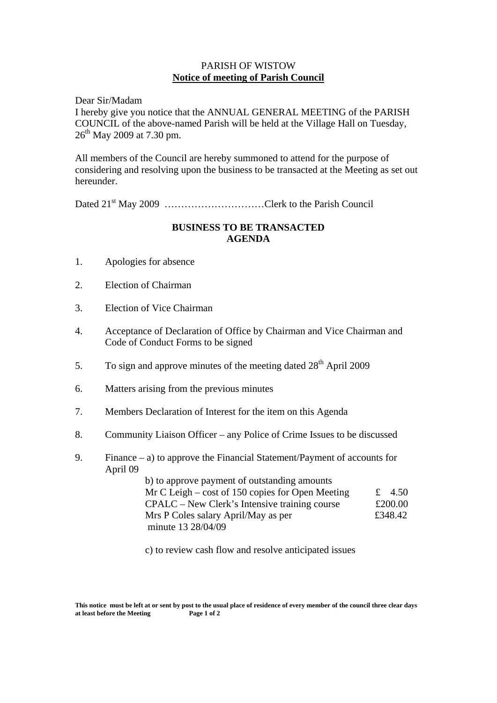## PARISH OF WISTOW **Notice of meeting of Parish Council**

Dear Sir/Madam I hereby give you notice that the ANNUAL GENERAL MEETING of the PARISH COUNCIL of the above-named Parish will be held at the Village Hall on Tuesday,  $26^{th}$  May 2009 at 7.30 pm.

All members of the Council are hereby summoned to attend for the purpose of considering and resolving upon the business to be transacted at the Meeting as set out hereunder.

Dated 21<sup>st</sup> May 2009 ……………………………Clerk to the Parish Council

## **BUSINESS TO BE TRANSACTED AGENDA**

- 1. Apologies for absence
- 2. Election of Chairman
- 3. Election of Vice Chairman
- 4. Acceptance of Declaration of Office by Chairman and Vice Chairman and Code of Conduct Forms to be signed
- 5. To sign and approve minutes of the meeting dated  $28<sup>th</sup>$  April 2009
- 6. Matters arising from the previous minutes
- 7. Members Declaration of Interest for the item on this Agenda
- 8. Community Liaison Officer any Police of Crime Issues to be discussed
- 9. Finance a) to approve the Financial Statement/Payment of accounts for April 09

 b) to approve payment of outstanding amounts Mr C Leigh – cost of 150 copies for Open Meeting  $\pm 4.50$  $CPALC - New Clark's Intensive training course$  £200.00 Mrs P Coles salary April/May as per  $£348.42$ minute 13 28/04/09

c) to review cash flow and resolve anticipated issues